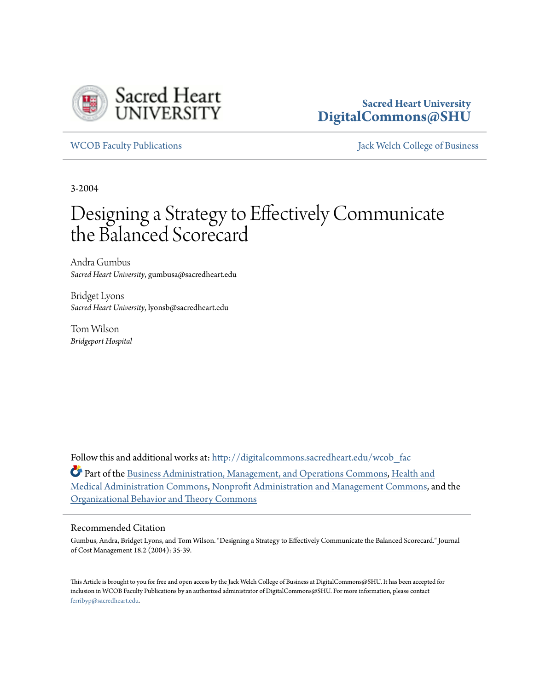

## **Sacred Heart University [DigitalCommons@SHU](http://digitalcommons.sacredheart.edu?utm_source=digitalcommons.sacredheart.edu%2Fwcob_fac%2F311&utm_medium=PDF&utm_campaign=PDFCoverPages)**

[WCOB Faculty Publications](http://digitalcommons.sacredheart.edu/wcob_fac?utm_source=digitalcommons.sacredheart.edu%2Fwcob_fac%2F311&utm_medium=PDF&utm_campaign=PDFCoverPages) [Jack Welch College of Business](http://digitalcommons.sacredheart.edu/wcob?utm_source=digitalcommons.sacredheart.edu%2Fwcob_fac%2F311&utm_medium=PDF&utm_campaign=PDFCoverPages)

3-2004

# Designing a Strategy to Effectively Communicate the Balanced Scorecard

Andra Gumbus *Sacred Heart University*, gumbusa@sacredheart.edu

Bridget Lyons *Sacred Heart University*, lyonsb@sacredheart.edu

Tom Wilson *Bridgeport Hospital*

Follow this and additional works at: [http://digitalcommons.sacredheart.edu/wcob\\_fac](http://digitalcommons.sacredheart.edu/wcob_fac?utm_source=digitalcommons.sacredheart.edu%2Fwcob_fac%2F311&utm_medium=PDF&utm_campaign=PDFCoverPages)

Part of the [Business Administration, Management, and Operations Commons](http://network.bepress.com/hgg/discipline/623?utm_source=digitalcommons.sacredheart.edu%2Fwcob_fac%2F311&utm_medium=PDF&utm_campaign=PDFCoverPages), [Health and](http://network.bepress.com/hgg/discipline/663?utm_source=digitalcommons.sacredheart.edu%2Fwcob_fac%2F311&utm_medium=PDF&utm_campaign=PDFCoverPages) [Medical Administration Commons](http://network.bepress.com/hgg/discipline/663?utm_source=digitalcommons.sacredheart.edu%2Fwcob_fac%2F311&utm_medium=PDF&utm_campaign=PDFCoverPages), [Nonprofit Administration and Management Commons,](http://network.bepress.com/hgg/discipline/1228?utm_source=digitalcommons.sacredheart.edu%2Fwcob_fac%2F311&utm_medium=PDF&utm_campaign=PDFCoverPages) and the [Organizational Behavior and Theory Commons](http://network.bepress.com/hgg/discipline/639?utm_source=digitalcommons.sacredheart.edu%2Fwcob_fac%2F311&utm_medium=PDF&utm_campaign=PDFCoverPages)

#### Recommended Citation

Gumbus, Andra, Bridget Lyons, and Tom Wilson. "Designing a Strategy to Effectively Communicate the Balanced Scorecard." Journal of Cost Management 18.2 (2004): 35-39.

This Article is brought to you for free and open access by the Jack Welch College of Business at DigitalCommons@SHU. It has been accepted for inclusion in WCOB Faculty Publications by an authorized administrator of DigitalCommons@SHU. For more information, please contact [ferribyp@sacredheart.edu](mailto:ferribyp@sacredheart.edu).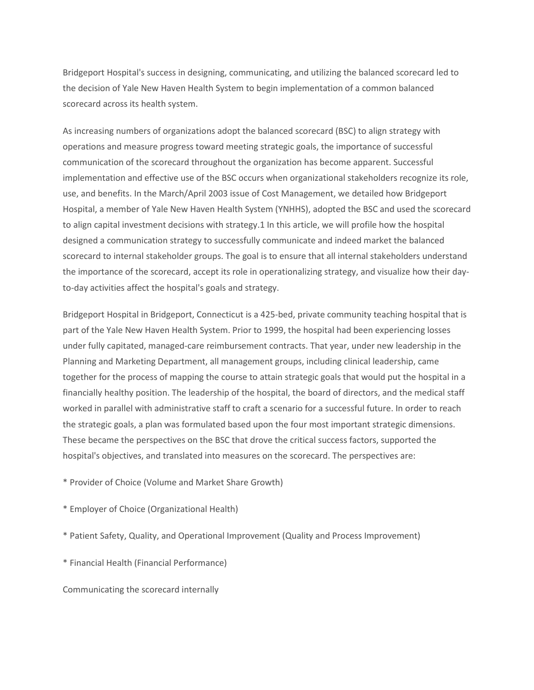Bridgeport Hospital's success in designing, communicating, and utilizing the balanced scorecard led to the decision of Yale New Haven Health System to begin implementation of a common balanced scorecard across its health system.

As increasing numbers of organizations adopt the balanced scorecard (BSC) to align strategy with operations and measure progress toward meeting strategic goals, the importance of successful communication of the scorecard throughout the organization has become apparent. Successful implementation and effective use of the BSC occurs when organizational stakeholders recognize its role, use, and benefits. In the March/April 2003 issue of Cost Management, we detailed how Bridgeport Hospital, a member of Yale New Haven Health System (YNHHS), adopted the BSC and used the scorecard to align capital investment decisions with strategy.1 In this article, we will profile how the hospital designed a communication strategy to successfully communicate and indeed market the balanced scorecard to internal stakeholder groups. The goal is to ensure that all internal stakeholders understand the importance of the scorecard, accept its role in operationalizing strategy, and visualize how their dayto-day activities affect the hospital's goals and strategy.

Bridgeport Hospital in Bridgeport, Connecticut is a 425-bed, private community teaching hospital that is part of the Yale New Haven Health System. Prior to 1999, the hospital had been experiencing losses under fully capitated, managed-care reimbursement contracts. That year, under new leadership in the Planning and Marketing Department, all management groups, including clinical leadership, came together for the process of mapping the course to attain strategic goals that would put the hospital in a financially healthy position. The leadership of the hospital, the board of directors, and the medical staff worked in parallel with administrative staff to craft a scenario for a successful future. In order to reach the strategic goals, a plan was formulated based upon the four most important strategic dimensions. These became the perspectives on the BSC that drove the critical success factors, supported the hospital's objectives, and translated into measures on the scorecard. The perspectives are:

\* Provider of Choice (Volume and Market Share Growth)

\* Employer of Choice (Organizational Health)

\* Patient Safety, Quality, and Operational Improvement (Quality and Process Improvement)

\* Financial Health (Financial Performance)

Communicating the scorecard internally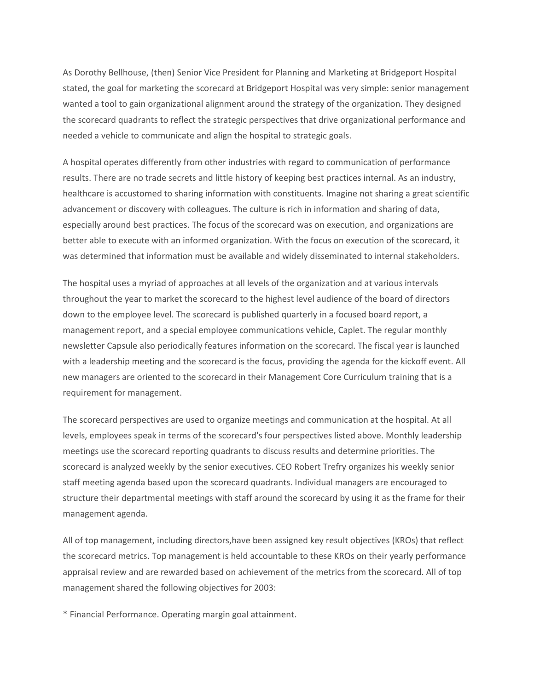As Dorothy Bellhouse, (then) Senior Vice President for Planning and Marketing at Bridgeport Hospital stated, the goal for marketing the scorecard at Bridgeport Hospital was very simple: senior management wanted a tool to gain organizational alignment around the strategy of the organization. They designed the scorecard quadrants to reflect the strategic perspectives that drive organizational performance and needed a vehicle to communicate and align the hospital to strategic goals.

A hospital operates differently from other industries with regard to communication of performance results. There are no trade secrets and little history of keeping best practices internal. As an industry, healthcare is accustomed to sharing information with constituents. Imagine not sharing a great scientific advancement or discovery with colleagues. The culture is rich in information and sharing of data, especially around best practices. The focus of the scorecard was on execution, and organizations are better able to execute with an informed organization. With the focus on execution of the scorecard, it was determined that information must be available and widely disseminated to internal stakeholders.

The hospital uses a myriad of approaches at all levels of the organization and at various intervals throughout the year to market the scorecard to the highest level audience of the board of directors down to the employee level. The scorecard is published quarterly in a focused board report, a management report, and a special employee communications vehicle, Caplet. The regular monthly newsletter Capsule also periodically features information on the scorecard. The fiscal year is launched with a leadership meeting and the scorecard is the focus, providing the agenda for the kickoff event. All new managers are oriented to the scorecard in their Management Core Curriculum training that is a requirement for management.

The scorecard perspectives are used to organize meetings and communication at the hospital. At all levels, employees speak in terms of the scorecard's four perspectives listed above. Monthly leadership meetings use the scorecard reporting quadrants to discuss results and determine priorities. The scorecard is analyzed weekly by the senior executives. CEO Robert Trefry organizes his weekly senior staff meeting agenda based upon the scorecard quadrants. Individual managers are encouraged to structure their departmental meetings with staff around the scorecard by using it as the frame for their management agenda.

All of top management, including directors,have been assigned key result objectives (KROs) that reflect the scorecard metrics. Top management is held accountable to these KROs on their yearly performance appraisal review and are rewarded based on achievement of the metrics from the scorecard. All of top management shared the following objectives for 2003:

\* Financial Performance. Operating margin goal attainment.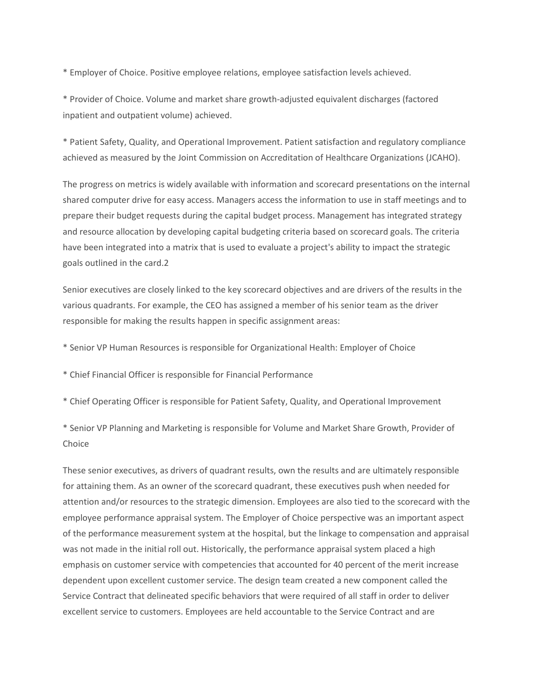\* Employer of Choice. Positive employee relations, employee satisfaction levels achieved.

\* Provider of Choice. Volume and market share growth-adjusted equivalent discharges (factored inpatient and outpatient volume) achieved.

\* Patient Safety, Quality, and Operational Improvement. Patient satisfaction and regulatory compliance achieved as measured by the Joint Commission on Accreditation of Healthcare Organizations (JCAHO).

The progress on metrics is widely available with information and scorecard presentations on the internal shared computer drive for easy access. Managers access the information to use in staff meetings and to prepare their budget requests during the capital budget process. Management has integrated strategy and resource allocation by developing capital budgeting criteria based on scorecard goals. The criteria have been integrated into a matrix that is used to evaluate a project's ability to impact the strategic goals outlined in the card.2

Senior executives are closely linked to the key scorecard objectives and are drivers of the results in the various quadrants. For example, the CEO has assigned a member of his senior team as the driver responsible for making the results happen in specific assignment areas:

- \* Senior VP Human Resources is responsible for Organizational Health: Employer of Choice
- \* Chief Financial Officer is responsible for Financial Performance
- \* Chief Operating Officer is responsible for Patient Safety, Quality, and Operational Improvement

\* Senior VP Planning and Marketing is responsible for Volume and Market Share Growth, Provider of Choice

These senior executives, as drivers of quadrant results, own the results and are ultimately responsible for attaining them. As an owner of the scorecard quadrant, these executives push when needed for attention and/or resources to the strategic dimension. Employees are also tied to the scorecard with the employee performance appraisal system. The Employer of Choice perspective was an important aspect of the performance measurement system at the hospital, but the linkage to compensation and appraisal was not made in the initial roll out. Historically, the performance appraisal system placed a high emphasis on customer service with competencies that accounted for 40 percent of the merit increase dependent upon excellent customer service. The design team created a new component called the Service Contract that delineated specific behaviors that were required of all staff in order to deliver excellent service to customers. Employees are held accountable to the Service Contract and are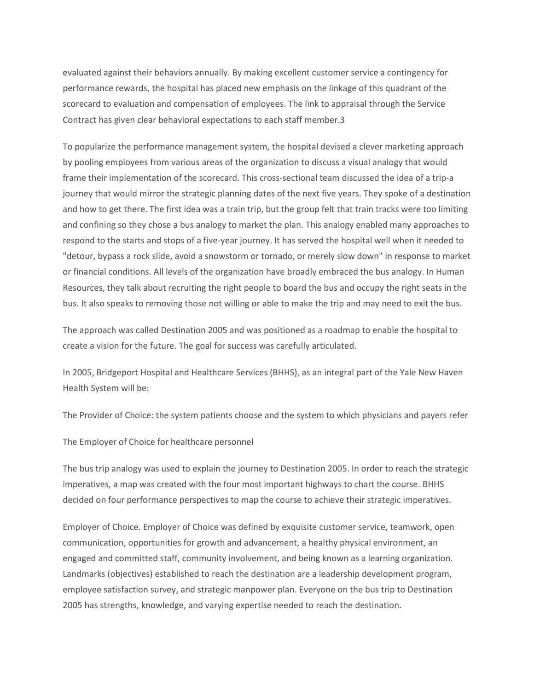evaluated against their behaviors annually. By making excellent customer service a contingency for performance rewards, the hospital has placed new emphasis on the linkage of this quadrant of the scorecard to evaluation and compensation of employees. The link to appraisal through the Service Contract has given clear behavioral expectations to each staff member.3

To popularize the performance management system, the hospital devised a clever marketing approach by pooling employees from various areas of the organization to discuss a visual analogy that would frame their implementation of the scorecard. This cross-sectional team discussed the idea of a trip-a journey that would mirror the strategic planning dates of the next five years. They spoke of a destination and how to get there. The first idea was a train trip, but the group felt that train tracks were too limiting and confining so they chose a bus analogy to market the plan. This analogy enabled many approaches to respond to the starts and stops of a five-year journey. It has served the hospital well when it needed to "detour, bypass a rock slide, avoid a snowstorm or tornado, or merely slow down" in response to market or financial conditions. All levels of the organization have broadly embraced the bus analogy. In Human Resources, they talk about recruiting the right people to board the bus and occupy the right seats in the bus. It also speaks to removing those not willing or able to make the trip and may need to exit the bus.

The approach was called Destination 2005 and was positioned as a roadmap to enable the hospital to create a vision for the future. The goal for success was carefully articulated.

In 2005, Bridgeport Hospital and Healthcare Services (BHHS), as an integral part of the Yale New Haven Health System will be:

The Provider of Choice: the system patients choose and the system to which physicians and payers refer

The Employer of Choice for healthcare personnel

The bus trip analogy was used to explain the journey to Destination 2005. In order to reach the strategic imperatives, a map was created with the four most important highways to chart the course. BHHS decided on four performance perspectives to map the course to achieve their strategic imperatives.

Employer of Choice. Employer of Choice was defined by exquisite customer service, teamwork, open communication, opportunities for growth and advancement, a healthy physical environment, an engaged and committed staff, community involvement, and being known as a learning organization. Landmarks (objectives) established to reach the destination are a leadership development program, employee satisfaction survey, and strategic manpower plan. Everyone on the bus trip to Destination 2005 has strengths, knowledge, and varying expertise needed to reach the destination.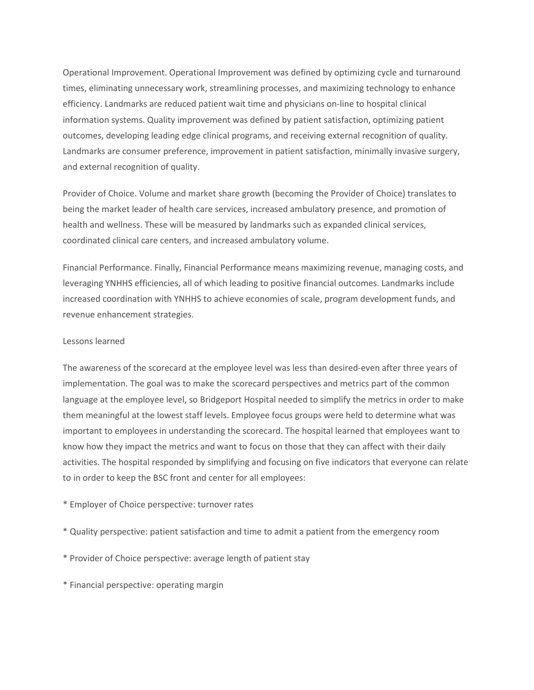Operational Improvement. Operational Improvement was defined by optimizing cycle and turnaround times, eliminating unnecessary work, streamlining processes, and maximizing technology to enhance efficiency. Landmarks are reduced patient wait time and physicians on-line to hospital clinical information systems. Quality improvement was defined by patient satisfaction, optimizing patient outcomes, developing leading edge clinical programs, and receiving external recognition of quality. Landmarks are consumer preference, improvement in patient satisfaction, minimally invasive surgery, and external recognition of quality.

Provider of Choice. Volume and market share growth (becoming the Provider of Choice) translates to being the market leader of health care services, increased ambulatory presence, and promotion of health and wellness. These will be measured by landmarks such as expanded clinical services, coordinated clinical care centers, and increased ambulatory volume.

Financial Performance. Finally, Financial Performance means maximizing revenue, managing costs, and leveraging YNHHS efficiencies, all of which leading to positive financial outcomes. Landmarks include increased coordination with YNHHS to achieve economies of scale, program development funds, and revenue enhancement strategies.

#### Lessons learned

The awareness of the scorecard at the employee level was less than desired-even after three years of implementation. The goal was to make the scorecard perspectives and metrics part of the common language at the employee level, so Bridgeport Hospital needed to simplify the metrics in order to make them meaningful at the lowest staff levels. Employee focus groups were held to determine what was important to employees in understanding the scorecard. The hospital learned that employees want to know how they impact the metrics and want to focus on those that they can affect with their daily activities. The hospital responded by simplifying and focusing on five indicators that everyone can relate to in order to keep the BSC front and center for all employees:

- \* Employer of Choice perspective: turnover rates
- \* Quality perspective: patient satisfaction and time to admit a patient from the emergency room
- \* Provider of Choice perspective: average length of patient stay
- \* Financial perspective: operating margin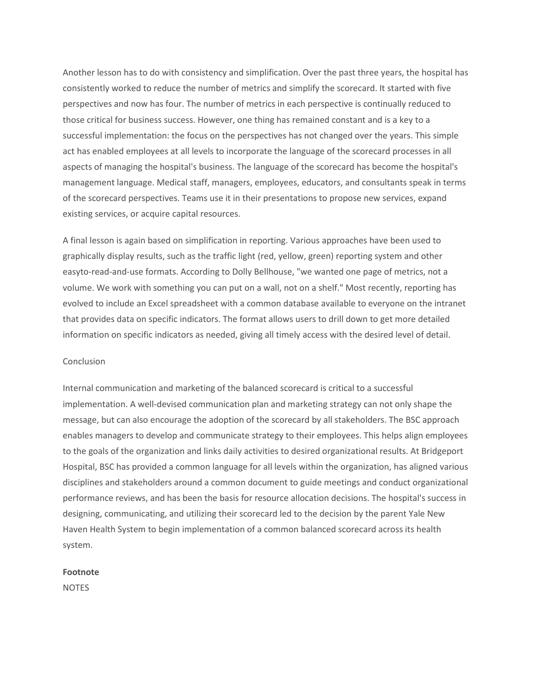Another lesson has to do with consistency and simplification. Over the past three years, the hospital has consistently worked to reduce the number of metrics and simplify the scorecard. It started with five perspectives and now has four. The number of metrics in each perspective is continually reduced to those critical for business success. However, one thing has remained constant and is a key to a successful implementation: the focus on the perspectives has not changed over the years. This simple act has enabled employees at all levels to incorporate the language of the scorecard processes in all aspects of managing the hospital's business. The language of the scorecard has become the hospital's management language. Medical staff, managers, employees, educators, and consultants speak in terms of the scorecard perspectives. Teams use it in their presentations to propose new services, expand existing services, or acquire capital resources.

A final lesson is again based on simplification in reporting. Various approaches have been used to graphically display results, such as the traffic light (red, yellow, green) reporting system and other easyto-read-and-use formats. According to Dolly Bellhouse, "we wanted one page of metrics, not a volume. We work with something you can put on a wall, not on a shelf." Most recently, reporting has evolved to include an Excel spreadsheet with a common database available to everyone on the intranet that provides data on specific indicators. The format allows users to drill down to get more detailed information on specific indicators as needed, giving all timely access with the desired level of detail.

#### Conclusion

Internal communication and marketing of the balanced scorecard is critical to a successful implementation. A well-devised communication plan and marketing strategy can not only shape the message, but can also encourage the adoption of the scorecard by all stakeholders. The BSC approach enables managers to develop and communicate strategy to their employees. This helps align employees to the goals of the organization and links daily activities to desired organizational results. At Bridgeport Hospital, BSC has provided a common language for all levels within the organization, has aligned various disciplines and stakeholders around a common document to guide meetings and conduct organizational performance reviews, and has been the basis for resource allocation decisions. The hospital's success in designing, communicating, and utilizing their scorecard led to the decision by the parent Yale New Haven Health System to begin implementation of a common balanced scorecard across its health system.

#### Footnote

NOTES